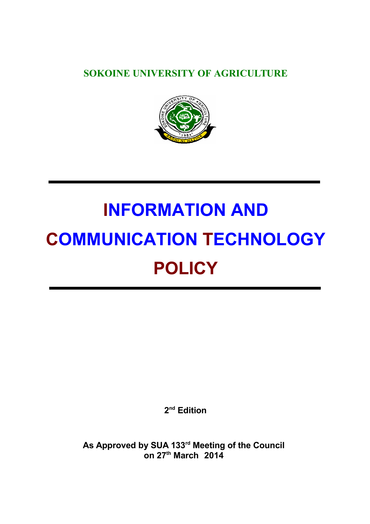**SOKOINE UNIVERSITY OF AGRICULTURE**



# **INFORMATION AND COMMUNICATION TECHNOLOGY POLICY**

**2 nd Edition**

**As Approved by SUA 133rd Meeting of the Council on 27th March 2014**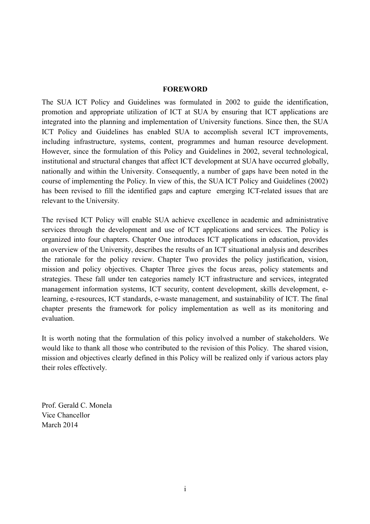#### <span id="page-1-0"></span>**FOREWORD**

The SUA ICT Policy and Guidelines was formulated in 2002 to guide the identification, promotion and appropriate utilization of ICT at SUA by ensuring that ICT applications are integrated into the planning and implementation of University functions. Since then, the SUA ICT Policy and Guidelines has enabled SUA to accomplish several ICT improvements, including infrastructure, systems, content, programmes and human resource development. However, since the formulation of this Policy and Guidelines in 2002, several technological, institutional and structural changes that affect ICT development at SUA have occurred globally, nationally and within the University. Consequently, a number of gaps have been noted in the course of implementing the Policy. In view of this, the SUA ICT Policy and Guidelines (2002) has been revised to fill the identified gaps and capture emerging ICT-related issues that are relevant to the University.

The revised ICT Policy will enable SUA achieve excellence in academic and administrative services through the development and use of ICT applications and services. The Policy is organized into four chapters. Chapter One introduces ICT applications in education, provides an overview of the University, describes the results of an ICT situational analysis and describes the rationale for the policy review. Chapter Two provides the policy justification, vision, mission and policy objectives. Chapter Three gives the focus areas, policy statements and strategies. These fall under ten categories namely ICT infrastructure and services, integrated management information systems, ICT security, content development, skills development, elearning, e-resources, ICT standards, e-waste management, and sustainability of ICT. The final chapter presents the framework for policy implementation as well as its monitoring and evaluation.

It is worth noting that the formulation of this policy involved a number of stakeholders. We would like to thank all those who contributed to the revision of this Policy. The shared vision, mission and objectives clearly defined in this Policy will be realized only if various actors play their roles effectively.

Prof. Gerald C. Monela Vice Chancellor March 2014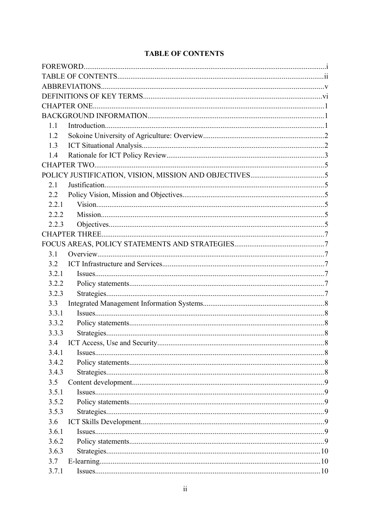| 1.1   |  |  |  |  |  |
|-------|--|--|--|--|--|
| 1.2   |  |  |  |  |  |
| 1.3   |  |  |  |  |  |
| 1.4   |  |  |  |  |  |
|       |  |  |  |  |  |
|       |  |  |  |  |  |
| 2.1   |  |  |  |  |  |
| 2.2   |  |  |  |  |  |
| 2.2.1 |  |  |  |  |  |
| 2.2.2 |  |  |  |  |  |
| 2.2.3 |  |  |  |  |  |
|       |  |  |  |  |  |
|       |  |  |  |  |  |
| 3.1   |  |  |  |  |  |
| 3.2   |  |  |  |  |  |
| 3.2.1 |  |  |  |  |  |
| 3.2.2 |  |  |  |  |  |
| 3.2.3 |  |  |  |  |  |
| 3.3   |  |  |  |  |  |
| 3.3.1 |  |  |  |  |  |
| 3.3.2 |  |  |  |  |  |
| 3.3.3 |  |  |  |  |  |
| 3.4   |  |  |  |  |  |
| 3.4.1 |  |  |  |  |  |
| 3.4.2 |  |  |  |  |  |
| 3.4.3 |  |  |  |  |  |
| 3.5   |  |  |  |  |  |
| 3.5.1 |  |  |  |  |  |
| 3.5.2 |  |  |  |  |  |
| 3.5.3 |  |  |  |  |  |
| 3.6   |  |  |  |  |  |
| 3.6.1 |  |  |  |  |  |
| 3.6.2 |  |  |  |  |  |
| 3.6.3 |  |  |  |  |  |
| 3.7   |  |  |  |  |  |
| 3.7.1 |  |  |  |  |  |

# <span id="page-2-0"></span>**TABLE OF CONTENTS**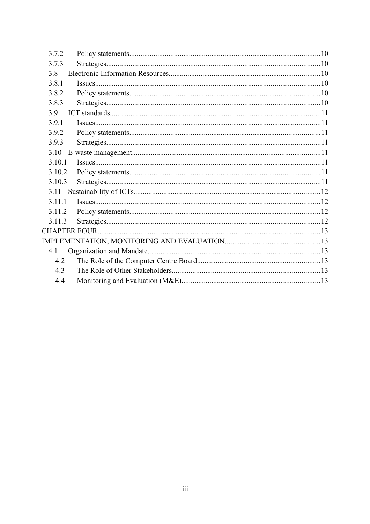| 3.7.2  |  |
|--------|--|
| 3.7.3  |  |
| 3.8    |  |
| 3.8.1  |  |
| 3.8.2  |  |
| 3.8.3  |  |
| 3.9    |  |
| 3.9.1  |  |
| 3.9.2  |  |
| 3.9.3  |  |
| 3.10   |  |
| 3.10.1 |  |
| 3.10.2 |  |
| 3.10.3 |  |
| 3.11   |  |
| 3.11.1 |  |
| 3.11.2 |  |
| 3.11.3 |  |
|        |  |
|        |  |
| 4.1    |  |
| 4.2    |  |
| 4.3    |  |
| 4.4    |  |
|        |  |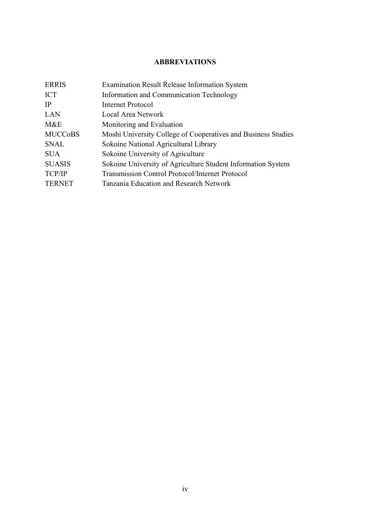## <span id="page-4-0"></span>**ABBREVIATIONS**

| <b>Examination Result Release Information System</b>          |
|---------------------------------------------------------------|
| Information and Communication Technology                      |
| <b>Internet Protocol</b>                                      |
| Local Area Network                                            |
| Monitoring and Evaluation                                     |
| Moshi University College of Cooperatives and Business Studies |
| Sokoine National Agricultural Library                         |
| Sokoine University of Agriculture                             |
| Sokoine University of Agriculture Student Information System  |
| <b>Transmission Control Protocol/Internet Protocol</b>        |
| Tanzania Education and Research Network                       |
|                                                               |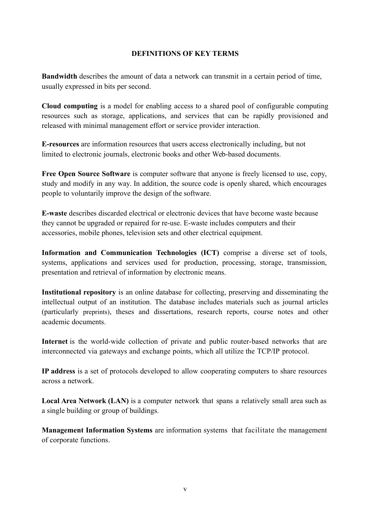#### <span id="page-5-0"></span>**DEFINITIONS OF KEY TERMS**

**Bandwidth** describes the amount of data a network can transmit in a certain period of time, usually expressed in bits per second.

**Cloud computing** is a model for enabling access to a shared pool of configurable computing resources such as storage, applications, and services that can be rapidly provisioned and released with minimal management effort or service provider interaction.

**E-resources** are information resources that users access electronically including, but not limited to electronic journals, electronic books and other Web-based documents.

**Free Open Source Software** is computer software that anyone is freely licensed to use, copy, study and modify in any way. In addition, the source code is openly shared, which encourages people to voluntarily improve the design of the software.

**E-waste** describes discarded electrical or electronic devices that have become waste because they cannot be upgraded or repaired for re-use. E-waste includes computers and their accessories, mobile phones, television sets and other electrical equipment.

**Information and Communication Technologies (ICT)** comprise a diverse set of tools, systems, applications and services used for production, processing, storage, transmission, presentation and retrieval of information by electronic means.

**Institutional repository** is an online database for collecting, preserving and disseminating the intellectual output of an institution. The database includes materials such as journal articles (particularly preprints), theses and dissertations, research reports, course notes and other academic documents.

Internet is the world-wide collection of private and public router-based networks that are interconnected via gateways and exchange points, which all utilize the TCP/IP protocol.

**IP address** is a set of protocols developed to allow cooperating computers to share resources across a network.

**Local Area Network (LAN)** is a computer network that spans a relatively small area such as a single building or group of buildings.

**Management Information Systems** are information systems that facilitate the management of corporate functions.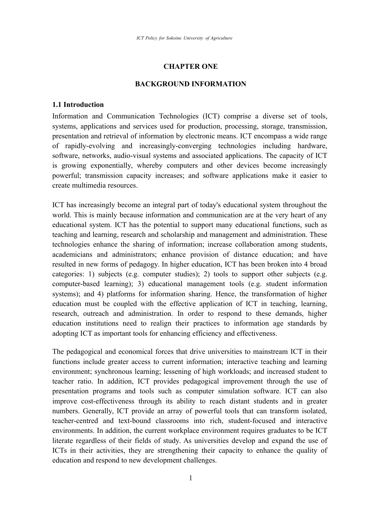#### <span id="page-6-2"></span>**CHAPTER ONE**

#### <span id="page-6-1"></span>**BACKGROUND INFORMATION**

#### <span id="page-6-0"></span>**1.1 Introduction**

Information and Communication Technologies (ICT) comprise a diverse set of tools, systems, applications and services used for production, processing, storage, transmission, presentation and retrieval of information by electronic means. ICT encompass a wide range of rapidly-evolving and increasingly-converging technologies including hardware, software, networks, audio-visual systems and associated applications. The capacity of ICT is growing exponentially, whereby computers and other devices become increasingly powerful; transmission capacity increases; and software applications make it easier to create multimedia resources.

ICT has increasingly become an integral part of today's educational system throughout the world. This is mainly because information and communication are at the very heart of any educational system. ICT has the potential to support many educational functions, such as teaching and learning, research and scholarship and management and administration. These technologies enhance the sharing of information; increase collaboration among students, academicians and administrators; enhance provision of distance education; and have resulted in new forms of pedagogy. In higher education, ICT has been broken into 4 broad categories: 1) subjects (e.g. computer studies); 2) tools to support other subjects (e.g. computer-based learning); 3) educational management tools (e.g. student information systems); and 4) platforms for information sharing. Hence, the transformation of higher education must be coupled with the effective application of ICT in teaching, learning, research, outreach and administration. In order to respond to these demands, higher education institutions need to realign their practices to information age standards by adopting ICT as important tools for enhancing efficiency and effectiveness.

The pedagogical and economical forces that drive universities to mainstream ICT in their functions include greater access to current information; interactive teaching and learning environment; synchronous learning; lessening of high workloads; and increased student to teacher ratio. In addition, ICT provides pedagogical improvement through the use of presentation programs and tools such as computer simulation software. ICT can also improve cost-effectiveness through its ability to reach distant students and in greater numbers. Generally, ICT provide an array of powerful tools that can transform isolated, teacher-centred and text-bound classrooms into rich, student-focused and interactive environments. In addition, the current workplace environment requires graduates to be ICT literate regardless of their fields of study. As universities develop and expand the use of ICTs in their activities, they are strengthening their capacity to enhance the quality of education and respond to new development challenges.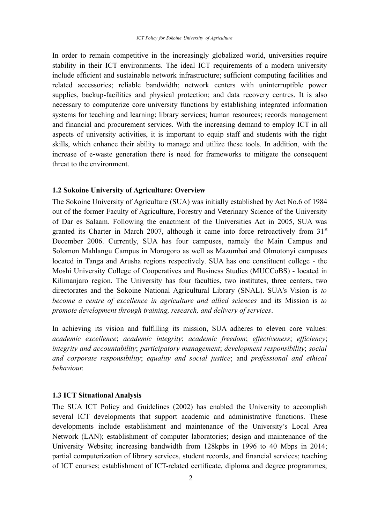In order to remain competitive in the increasingly globalized world, universities require stability in their ICT environments. The ideal ICT requirements of a modern university include efficient and sustainable network infrastructure; sufficient computing facilities and related accessories; reliable bandwidth; network centers with uninterruptible power supplies, backup-facilities and physical protection; and data recovery centres. It is also necessary to computerize core university functions by establishing integrated information systems for teaching and learning; library services; human resources; records management and financial and procurement services. With the increasing demand to employ ICT in all aspects of university activities, it is important to equip staff and students with the right skills, which enhance their ability to manage and utilize these tools. In addition, with the increase of e-waste generation there is need for frameworks to mitigate the consequent threat to the environment.

#### <span id="page-7-1"></span>**1.2 Sokoine University of Agriculture: Overview**

The Sokoine University of Agriculture (SUA) was initially established by Act No.6 of 1984 out of the former Faculty of Agriculture, Forestry and Veterinary Science of the University of Dar es Salaam. Following the enactment of the Universities Act in 2005, SUA was granted its Charter in March 2007, although it came into force retroactively from  $31<sup>st</sup>$ December 2006. Currently, SUA has four campuses, namely the Main Campus and Solomon Mahlangu Campus in Morogoro as well as Mazumbai and Olmotonyi campuses located in Tanga and Arusha regions respectively. SUA has one constituent college - the Moshi University College of Cooperatives and Business Studies (MUCCoBS) - located in Kilimanjaro region. The University has four faculties, two institutes, three centers, two directorates and the Sokoine National Agricultural Library (SNAL). SUA's Vision is *to become a centre of excellence in agriculture and allied sciences* and its Mission is *to promote development through training, research, and delivery of services*.

In achieving its vision and fulfilling its mission, SUA adheres to eleven core values: *academic excellence*; *academic integrity*; *academic freedom*; *effectiveness*; *efficiency*; *integrity and accountability*; *participatory management*; *development responsibility*; *social and corporate responsibility*; *equality and social justice*; and *professional and ethical behaviour.*

#### <span id="page-7-0"></span>**1.3 ICT Situational Analysis**

The SUA ICT Policy and Guidelines (2002) has enabled the University to accomplish several ICT developments that support academic and administrative functions. These developments include establishment and maintenance of the University's Local Area Network (LAN); establishment of computer laboratories; design and maintenance of the University Website; increasing bandwidth from 128kpbs in 1996 to 40 Mbps in 2014; partial computerization of library services, student records, and financial services; teaching of ICT courses; establishment of ICT-related certificate, diploma and degree programmes;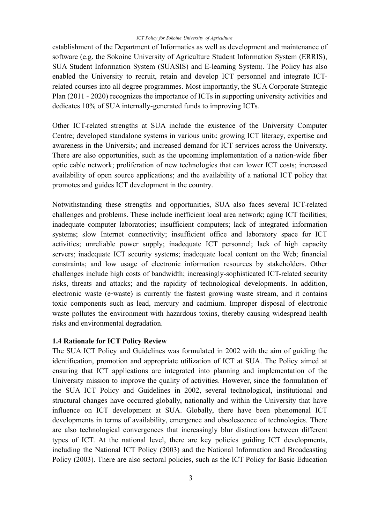establishment of the Department of Informatics as well as development and maintenance of software (e.g. the Sokoine University of Agriculture Student Information System (ERRIS), SUA Student Information System (SUASIS) and E-learning System). The Policy has also enabled the University to recruit, retain and develop ICT personnel and integrate ICTrelated courses into all degree programmes. Most importantly, the SUA Corporate Strategic Plan (2011 - 2020) recognizes the importance of ICTs in supporting university activities and dedicates 10% of SUA internally-generated funds to improving ICTs.

Other ICT-related strengths at SUA include the existence of the University Computer Centre; developed standalone systems in various units; growing ICT literacy, expertise and awareness in the University; and increased demand for ICT services across the University. There are also opportunities, such as the upcoming implementation of a nation-wide fiber optic cable network; proliferation of new technologies that can lower ICT costs; increased availability of open source applications; and the availability of a national ICT policy that promotes and guides ICT development in the country.

Notwithstanding these strengths and opportunities, SUA also faces several ICT-related challenges and problems. These include inefficient local area network; aging ICT facilities; inadequate computer laboratories; insufficient computers; lack of integrated information systems; slow Internet connectivity; insufficient office and laboratory space for ICT activities; unreliable power supply; inadequate ICT personnel; lack of high capacity servers; inadequate ICT security systems; inadequate local content on the Web; financial constraints; and low usage of electronic information resources by stakeholders. Other challenges include high costs of bandwidth; increasingly-sophisticated ICT-related security risks, threats and attacks; and the rapidity of technological developments. In addition, electronic waste (e‐waste) is currently the fastest growing waste stream, and it contains toxic components such as lead, mercury and cadmium. Improper disposal of electronic waste pollutes the environment with hazardous toxins, thereby causing widespread health risks and environmental degradation.

#### <span id="page-8-0"></span>**1.4 Rationale for ICT Policy Review**

The SUA ICT Policy and Guidelines was formulated in 2002 with the aim of guiding the identification, promotion and appropriate utilization of ICT at SUA. The Policy aimed at ensuring that ICT applications are integrated into planning and implementation of the University mission to improve the quality of activities. However, since the formulation of the SUA ICT Policy and Guidelines in 2002, several technological, institutional and structural changes have occurred globally, nationally and within the University that have influence on ICT development at SUA. Globally, there have been phenomenal ICT developments in terms of availability, emergence and obsolescence of technologies. There are also technological convergences that increasingly blur distinctions between different types of ICT. At the national level, there are key policies guiding ICT developments, including the National ICT Policy (2003) and the National Information and Broadcasting Policy (2003). There are also sectoral policies, such as the ICT Policy for Basic Education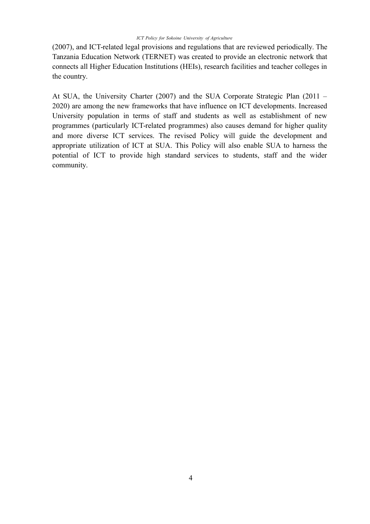(2007), and ICT-related legal provisions and regulations that are reviewed periodically. The Tanzania Education Network (TERNET) was created to provide an electronic network that connects all Higher Education Institutions (HEIs), research facilities and teacher colleges in the country.

At SUA, the University Charter (2007) and the SUA Corporate Strategic Plan (2011 – 2020) are among the new frameworks that have influence on ICT developments. Increased University population in terms of staff and students as well as establishment of new programmes (particularly ICT-related programmes) also causes demand for higher quality and more diverse ICT services. The revised Policy will guide the development and appropriate utilization of ICT at SUA. This Policy will also enable SUA to harness the potential of ICT to provide high standard services to students, staff and the wider community.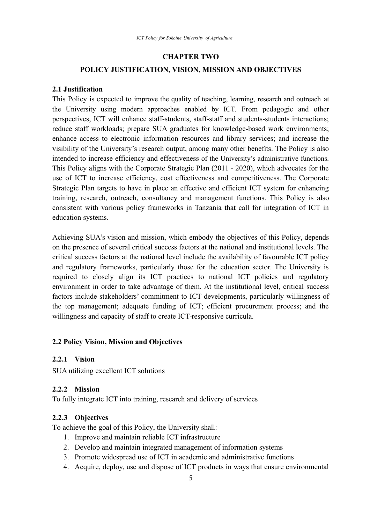#### <span id="page-10-6"></span>**CHAPTER TWO**

#### <span id="page-10-5"></span>**POLICY JUSTIFICATION, VISION, MISSION AND OBJECTIVES**

#### <span id="page-10-4"></span>**2.1 Justification**

This Policy is expected to improve the quality of teaching, learning, research and outreach at the University using modern approaches enabled by ICT. From pedagogic and other perspectives, ICT will enhance staff-students, staff-staff and students-students interactions; reduce staff workloads; prepare SUA graduates for knowledge-based work environments; enhance access to electronic information resources and library services; and increase the visibility of the University's research output, among many other benefits. The Policy is also intended to increase efficiency and effectiveness of the University's administrative functions. This Policy aligns with the Corporate Strategic Plan (2011 - 2020), which advocates for the use of ICT to increase efficiency, cost effectiveness and competitiveness. The Corporate Strategic Plan targets to have in place an effective and efficient ICT system for enhancing training, research, outreach, consultancy and management functions. This Policy is also consistent with various policy frameworks in Tanzania that call for integration of ICT in education systems.

Achieving SUA's vision and mission, which embody the objectives of this Policy, depends on the presence of several critical success factors at the national and institutional levels. The critical success factors at the national level include the availability of favourable ICT policy and regulatory frameworks, particularly those for the education sector. The University is required to closely align its ICT practices to national ICT policies and regulatory environment in order to take advantage of them. At the institutional level, critical success factors include stakeholders' commitment to ICT developments, particularly willingness of the top management; adequate funding of ICT; efficient procurement process; and the willingness and capacity of staff to create ICT-responsive curricula.

#### <span id="page-10-3"></span>**2.2 Policy Vision, Mission and Objectives**

#### <span id="page-10-2"></span>**2.2.1 Vision**

SUA utilizing excellent ICT solutions

#### <span id="page-10-1"></span>**2.2.2 Mission**

To fully integrate ICT into training, research and delivery of services

## <span id="page-10-0"></span>**2.2.3 Objectives**

To achieve the goal of this Policy, the University shall:

- 1. Improve and maintain reliable ICT infrastructure
- 2. Develop and maintain integrated management of information systems
- 3. Promote widespread use of ICT in academic and administrative functions
- 4. Acquire, deploy, use and dispose of ICT products in ways that ensure environmental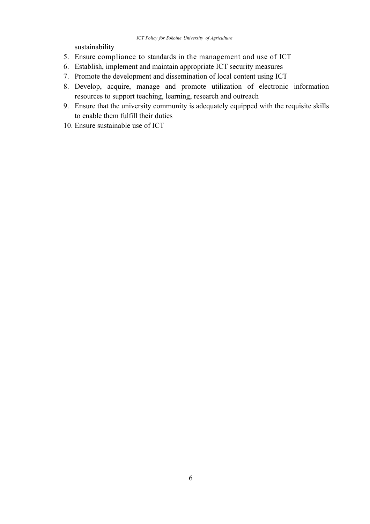sustainability

- 5. Ensure compliance to standards in the management and use of ICT
- 6. Establish, implement and maintain appropriate ICT security measures
- 7. Promote the development and dissemination of local content using ICT
- 8. Develop, acquire, manage and promote utilization of electronic information resources to support teaching, learning, research and outreach
- 9. Ensure that the university community is adequately equipped with the requisite skills to enable them fulfill their duties
- 10. Ensure sustainable use of ICT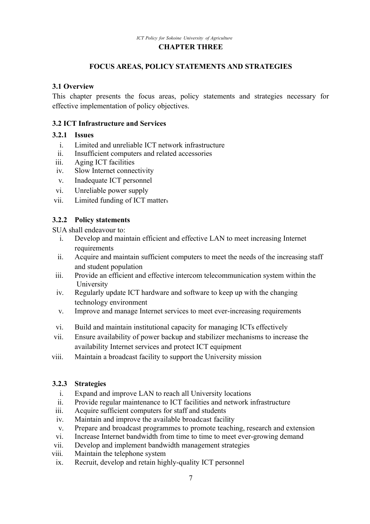#### <span id="page-12-5"></span>**CHAPTER THREE**

#### <span id="page-12-4"></span>**FOCUS AREAS, POLICY STATEMENTS AND STRATEGIES**

#### <span id="page-12-6"></span>**3.1 Overview**

This chapter presents the focus areas, policy statements and strategies necessary for effective implementation of policy objectives.

#### <span id="page-12-3"></span>**3.2 ICT Infrastructure and Services**

#### **3.2.1 Issues**

- <span id="page-12-2"></span>i. Limited and unreliable ICT network infrastructure
- ii. Insufficient computers and related accessories
- iii. Aging ICT facilities
- iv. Slow Internet connectivity
- v. Inadequate ICT personnel
- vi. Unreliable power supply
- vii. Limited funding of ICT matter<sup>s</sup>

#### <span id="page-12-1"></span>**3.2.2 Policy statements**

SUA shall endeavour to:

- i. Develop and maintain efficient and effective LAN to meet increasing Internet requirements
- ii. Acquire and maintain sufficient computers to meet the needs of the increasing staff and student population
- iii. Provide an efficient and effective intercom telecommunication system within the University
- iv. Regularly update ICT hardware and software to keep up with the changing technology environment
- v. Improve and manage Internet services to meet ever-increasing requirements
- vi. Build and maintain institutional capacity for managing ICTs effectively
- vii. Ensure availability of power backup and stabilizer mechanisms to increase the availability Internet services and protect ICT equipment
- viii. Maintain a broadcast facility to support the University mission

#### **3.2.3 Strategies**

- <span id="page-12-0"></span>i. Expand and improve LAN to reach all University locations
- ii. Provide regular maintenance to ICT facilities and network infrastructure
- iii. Acquire sufficient computers for staff and students
- iv. Maintain and improve the available broadcast facility
- v. Prepare and broadcast programmes to promote teaching, research and extension
- vi. Increase Internet bandwidth from time to time to meet ever-growing demand
- vii. Develop and implement bandwidth management strategies
- viii. Maintain the telephone system
- ix. Recruit, develop and retain highly-quality ICT personnel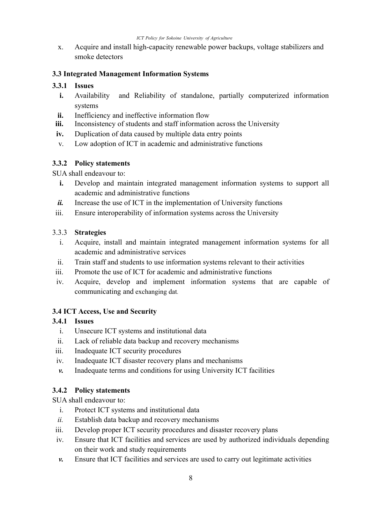x. Acquire and install high-capacity renewable power backups, voltage stabilizers and smoke detectors

#### <span id="page-13-6"></span>**3.3 Integrated Management Information Systems**

#### **3.3.1 Issues**

- <span id="page-13-5"></span>**i.** Availability and Reliability of standalone, partially computerized information systems
- **ii.** Inefficiency and ineffective information flow
- **iii.** Inconsistency of students and staff information across the University
- **iv.** Duplication of data caused by multiple data entry points
- v. Low adoption of ICT in academic and administrative functions

#### <span id="page-13-4"></span>**3.3.2 Policy statements**

SUA shall endeavour to:

- **i.** Develop and maintain integrated management information systems to support all academic and administrative functions
- *ii.* Increase the use of ICT in the implementation of University functions
- iii. Ensure interoperability of information systems across the University

#### 3.3.3 **Strategies**

- <span id="page-13-3"></span>i. Acquire, install and maintain integrated management information systems for all academic and administrative services
- ii. Train staff and students to use information systems relevant to their activities
- iii. Promote the use of ICT for academic and administrative functions
- iv. Acquire, develop and implement information systems that are capable of communicating and exchanging dat.

## <span id="page-13-2"></span>**3.4 ICT Access, Use and Security**

#### **3.4.1 Issues**

- <span id="page-13-1"></span>i. Unsecure ICT systems and institutional data
- ii. Lack of reliable data backup and recovery mechanisms
- iii. Inadequate ICT security procedures
- iv. Inadequate ICT disaster recovery plans and mechanisms
- *v.* Inadequate terms and conditions for using University ICT facilities

## <span id="page-13-0"></span>**3.4.2 Policy statements**

SUA shall endeavour to:

- i. Protect ICT systems and institutional data
- *ii.* Establish data backup and recovery mechanisms
- iii. Develop proper ICT security procedures and disaster recovery plans
- iv. Ensure that ICT facilities and services are used by authorized individuals depending on their work and study requirements
- *v.* Ensure that ICT facilities and services are used to carry out legitimate activities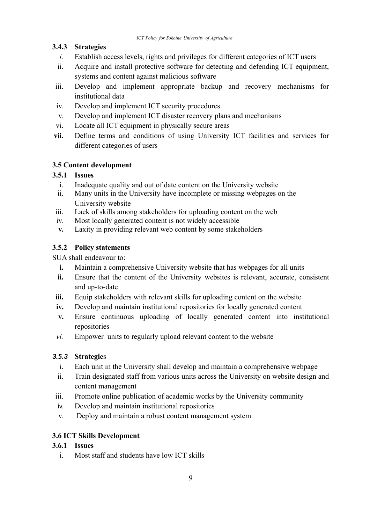# **3.4.3 Strategies**

- <span id="page-14-6"></span>*i.* Establish access levels, rights and privileges for different categories of ICT users
- ii. Acquire and install protective software for detecting and defending ICT equipment, systems and content against malicious software
- iii. Develop and implement appropriate backup and recovery mechanisms for institutional data
- iv. Develop and implement ICT security procedures
- v. Develop and implement ICT disaster recovery plans and mechanisms
- vi. Locate all ICT equipment in physically secure areas
- **vii.** Define terms and conditions of using University ICT facilities and services for different categories of users

# <span id="page-14-5"></span>**3.5 Content development**

## **3.5.1 Issues**

- <span id="page-14-4"></span>i. Inadequate quality and out of date content on the University website
- ii. Many units in the University have incomplete or missing webpages on the University website
- iii. Lack of skills among stakeholders for uploading content on the web
- iv. Most locally generated content is not widely accessible
- **v.** Laxity in providing relevant web content by some stakeholders

# <span id="page-14-3"></span>**3.5.2 Policy statements**

SUA shall endeavour to:

- **i.** Maintain a comprehensive University website that has webpages for all units
- **ii.** Ensure that the content of the University websites is relevant, accurate, consistent and up-to-date
- **iii.** Equip stakeholders with relevant skills for uploading content on the website
- **iv.** Develop and maintain institutional repositories for locally generated content
- **v.** Ensure continuous uploading of locally generated content into institutional repositories
- *vi.* Empower units to regularly upload relevant content to the website

## *3.5.3* **Strategie**s

- <span id="page-14-2"></span>i. Each unit in the University shall develop and maintain a comprehensive webpage
- ii. Train designated staff from various units across the University on website design and content management
- iii. Promote online publication of academic works by the University community
- iv. Develop and maintain institutional repositories
- v. Deploy and maintain a robust content management system

# <span id="page-14-1"></span>**3.6 ICT Skills Development**

## **3.6.1 Issues**

<span id="page-14-0"></span>i. Most staff and students have low ICT skills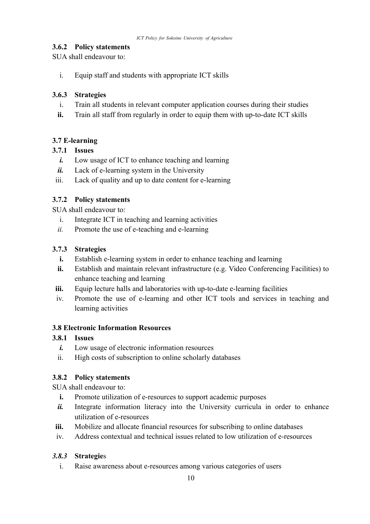## <span id="page-15-2"></span>**3.6.2 Policy statements**

SUA shall endeavour to:

i. Equip staff and students with appropriate ICT skills

## **3.6.3 Strategies**

- <span id="page-15-1"></span>i. Train all students in relevant computer application courses during their studies
- **ii.** Train all staff from regularly in order to equip them with up-to-date ICT skills

# <span id="page-15-3"></span>**3.7 E-learning**

## **3.7.1 Issues**

- <span id="page-15-0"></span>*i.* Low usage of ICT to enhance teaching and learning
- *ii.* Lack of e-learning system in the University
- iii. Lack of quality and up to date content for e-learning

# <span id="page-15-9"></span>**3.7.2 Policy statements**

SUA shall endeavour to:

- i. Integrate ICT in teaching and learning activities
- *ii.* Promote the use of e-teaching and e-learning

## **3.7.3 Strategies**

- <span id="page-15-8"></span>**i.** Establish e-learning system in order to enhance teaching and learning
- **ii.** Establish and maintain relevant infrastructure (e.g. Video Conferencing Facilities) to enhance teaching and learning
- **iii.** Equip lecture halls and laboratories with up-to-date e-learning facilities
- iv. Promote the use of e-learning and other ICT tools and services in teaching and learning activities

## <span id="page-15-7"></span>**3.8 Electronic Information Resources**

## **3.8.1 Issues**

- <span id="page-15-6"></span>*i.* Low usage of electronic information resources
- ii. High costs of subscription to online scholarly databases

# <span id="page-15-5"></span>**3.8.2 Policy statements**

SUA shall endeavour to:

- **i.** Promote utilization of e-resources to support academic purposes
- *ii.* Integrate information literacy into the University curricula in order to enhance utilization of e-resources
- **iii.** Mobilize and allocate financial resources for subscribing to online databases
- iv. Address contextual and technical issues related to low utilization of e-resources

# *3.8.3* **Strategie**s

<span id="page-15-4"></span>i. Raise awareness about e-resources among various categories of users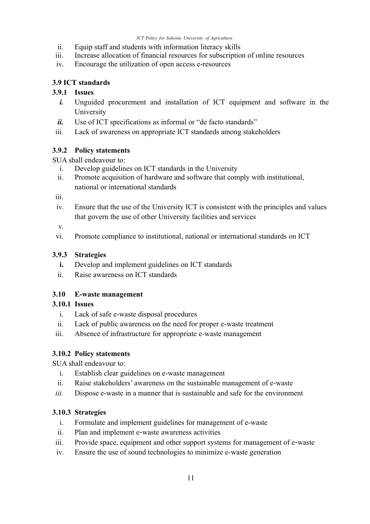- ii. Equip staff and students with information literacy skills
- iii. Increase allocation of financial resources for subscription of online resources
- iv. Encourage the utilization of open access e-resources

## <span id="page-16-7"></span>**3.9 ICT standards**

## **3.9.1 Issues**

- <span id="page-16-6"></span>*i.* Unguided procurement and installation of ICT equipment and software in the University
- *ii.* Use of ICT specifications as informal or "de facto standards"
- iii. Lack of awareness on appropriate ICT standards among stakeholders

## <span id="page-16-5"></span>**3.9.2 Policy statements**

SUA shall endeavour to:

- i. Develop guidelines on ICT standards in the University
- ii. Promote acquisition of hardware and software that comply with institutional, national or international standards

iii.

iv. Ensure that the use of the University ICT is consistent with the principles and values that govern the use of other University facilities and services

v.

vi. Promote compliance to institutional, national or international standards on ICT

## **3.9.3 Strategies**

- <span id="page-16-4"></span>**i.** Develop and implement guidelines on ICT standards
- ii. Raise awareness on ICT standards

## <span id="page-16-3"></span>**3.10 E-waste management**

## **3.10.1 Issues**

- <span id="page-16-2"></span>i. Lack of safe e-waste disposal procedures
- ii. Lack of public awareness on the need for proper e-waste treatment
- iii. Absence of infrastructure for appropriate e-waste management

## <span id="page-16-1"></span>**3.10.2 Policy statements**

SUA shall endeavour to:

- i. Establish clear guidelines on e-waste management
- ii. Raise stakeholders' awareness on the sustainable management of e-waste
- *iii.* Dispose e-waste in a manner that is sustainable and safe for the environment

# **3.10.3 Strategies**

- <span id="page-16-0"></span>i. Formulate and implement guidelines for management of e-waste
- ii. Plan and implement e-waste awareness activities
- iii. Provide space, equipment and other support systems for management of e-waste
- iv. Ensure the use of sound technologies to minimize e-waste generation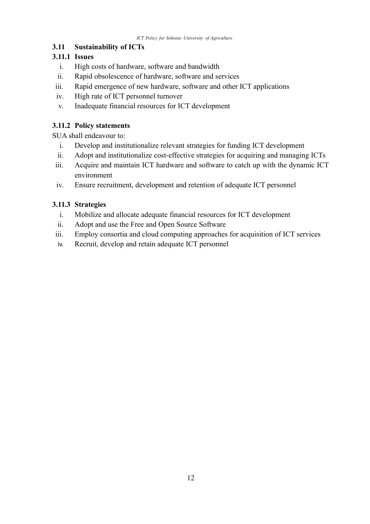# <span id="page-17-3"></span>**3.11 Sustainability of ICTs**

# **3.11.1 Issues**

- <span id="page-17-2"></span>i. High costs of hardware, software and bandwidth
- ii. Rapid obsolescence of hardware, software and services
- iii. Rapid emergence of new hardware, software and other ICT applications
- iv. High rate of ICT personnel turnover
- v. Inadequate financial resources for ICT development

# <span id="page-17-1"></span>**3.11.2 Policy statements**

SUA shall endeavour to:

- i. Develop and institutionalize relevant strategies for funding ICT development
- ii. Adopt and institutionalize cost-effective strategies for acquiring and managing ICTs
- iii. Acquire and maintain ICT hardware and software to catch up with the dynamic ICT environment
- iv. Ensure recruitment, development and retention of adequate ICT personnel

# **3.11.3 Strategies**

- <span id="page-17-0"></span>i. Mobilize and allocate adequate financial resources for ICT development
- ii. Adopt and use the Free and Open Source Software
- iii. Employ consortia and cloud computing approaches for acquisition of ICT services
- iv. Recruit, develop and retain adequate ICT personnel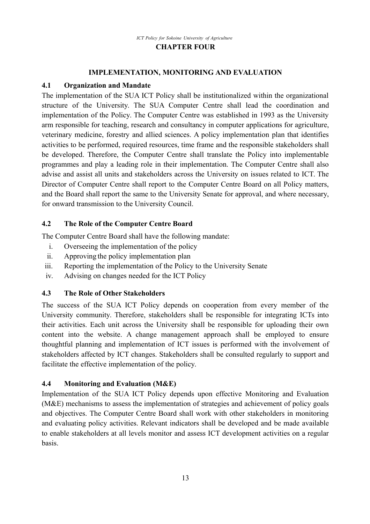#### <span id="page-18-5"></span><span id="page-18-4"></span>**IMPLEMENTATION, MONITORING AND EVALUATION**

#### <span id="page-18-2"></span>**4.1 Organization and Mandate**

The implementation of the SUA ICT Policy shall be institutionalized within the organizational structure of the University. The SUA Computer Centre shall lead the coordination and implementation of the Policy. The Computer Centre was established in 1993 as the University arm responsible for teaching, research and consultancy in computer applications for agriculture, veterinary medicine, forestry and allied sciences. A policy implementation plan that identifies activities to be performed, required resources, time frame and the responsible stakeholders shall be developed. Therefore, the Computer Centre shall translate the Policy into implementable programmes and play a leading role in their implementation. The Computer Centre shall also advise and assist all units and stakeholders across the University on issues related to ICT. The Director of Computer Centre shall report to the Computer Centre Board on all Policy matters, and the Board shall report the same to the University Senate for approval, and where necessary, for onward transmission to the University Council.

## <span id="page-18-1"></span>**4.2 The Role of the Computer Centre Board**

The Computer Centre Board shall have the following mandate:

- i. Overseeing the implementation of the policy
- ii. Approving the policy implementation plan
- iii. Reporting the implementation of the Policy to the University Senate
- iv. Advising on changes needed for the ICT Policy

## <span id="page-18-0"></span>**4.3 The Role of Other Stakeholders**

The success of the SUA ICT Policy depends on cooperation from every member of the University community. Therefore, stakeholders shall be responsible for integrating ICTs into their activities. Each unit across the University shall be responsible for uploading their own content into the website. A change management approach shall be employed to ensure thoughtful planning and implementation of ICT issues is performed with the involvement of stakeholders affected by ICT changes. Stakeholders shall be consulted regularly to support and facilitate the effective implementation of the policy.

## <span id="page-18-3"></span>**4.4 Monitoring and Evaluation (M&E)**

Implementation of the SUA ICT Policy depends upon effective Monitoring and Evaluation (M&E) mechanisms to assess the implementation of strategies and achievement of policy goals and objectives. The Computer Centre Board shall work with other stakeholders in monitoring and evaluating policy activities. Relevant indicators shall be developed and be made available to enable stakeholders at all levels monitor and assess ICT development activities on a regular basis.